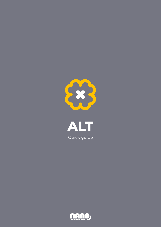



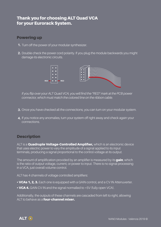# Thank you for choosing ALT Quad VCA for your Eurorack System.

## Powering up

- **1.** Turn off the power of your modular synthesizer.
- **2.** Double check the power cord polarity. If you plug the module backwards you might damage its electronic circuits.



*If you flip over your ALT Quad VCA, you will find the "RED" mark at the PCB power connector, which must match the colored line on the ribbon cable.*

- Once you have checked all the connections, you can turn on your modular system. **3.**
- **4.** If you notice any anomalies, turn your system off right away and check again your connections.

# Description

ALT is a **Quadruple Voltage-Controlled Amplifier,** which is an electronic device that uses electric power to vary the amplitude of a signal applied to its input terminals, producing a signal proportional to the control voltage at its output.

The amount of amplification provided by an amplifier is measured by its **gain**, which is the ratio of output voltage, current, or power to input. There is no signal processing in a VCA, just overall volume control.

ALT has 4 channels of voltage controlled amplifiers:

- VCAs 1, 2, 3. Each one is equipped with a GAIN control, and a CV IN Attenuverter.
- VCA 4. GAIN CV IN and the signal normalled to +5V (fully open VCA).

Additionally, the outputs of these channels are cascaded from left to right, allowing ALT to behave as a **four-channel mixer.** 

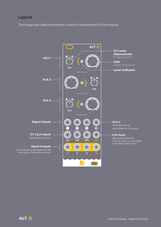## Layout

This image will clarify the function of each of the elements of the module.

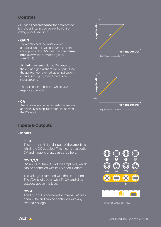# Controls

ALT has a **linear response:** the amplification is in direct linear proportion to the control voltage input (see Fig. 1).

### • GAIN

This control sets the initial level of amplification. This value is summed to the CV applied at the CV input. The **maximum bias** is 5V which provides a gain of 1. (see Fig. 1)

At **minimum level** with no CV present, there is no signal at the VCA's output. Once the gain control is turned up, amplification occurs (see Fig. 2), even if there is no CV input present.

The gain control shifts the whole VCA response upwards.

### • CV

Amplitude attenuverter. Adjusts the amount and polarity of amplitude modulation from the CV input.





Fig. 2 Effect of GAIN control on VCA response

## Inputs & Outputs

### • Inputs

### $/1 - 4$

These are the 4 signal inputs of the amplifiers, which are DC coupled. This means that audio, CV and trigger signals can be fed here.

### /CV 1,2,3

CV inputs for the GAIN of the amplifiers, which can be controlled with its CV attenuverters.

The voltage is summed with the bias control. The VCA is fully open with 5V CV, and clips voltages above this level.

### /CV 4

This CV input is normalled to internal 5V (fully open VCA) and can be controlled with any external voltage.



Fig. 3 Inputs & Outputs detail view.

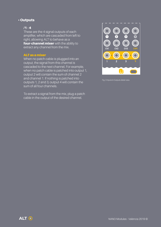### • Outputs

### $/1 - 4$

These are the 4 signal outputs of each amplifier, which are cascaded from left to right, allowing ALT to behave as a four-channel mixer with the ability to extract any channel from the mix.

### ALT as a mixer

When no patch cable is plugged into an output, the signal from this channel is cascaded to the next channel. For example, when no patch cable is patched into output 1, output 2 will contain the sum of channel 2 and channel 1. If nothing is patched into outputs 1, 2 and 3, output 4 will contain the sum of all four channels.

To extract a signal from the mix, plug a patch cable in the output of the desired channel.



Fig. 3 Inputs & Outputs detail view.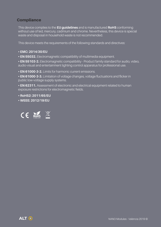# **Compliance**

This device complies to the **EU guidelines** and is manufactured **RoHS** conforming without use of led, mercury, cadmium and chrome. Nevertheless, this device is special waste and disposal in household waste is not recommended.

This device meets the requirements of the following standards and directives:

### **• EMC: 2014/30/EU**

**• EN 55032.** Electromagnetic compatibility of multimedia equipment.

**• EN 55103-2.** Electromagnetic compatibility - Product family standard for audio, video, audio-visual and entertainment lighting control apparatus for professional use.

**• EN 61000-3-2.** Limits for harmonic current emissions.

**• EN 61000-3-3.** Limitation of voltage changes, voltage fluctuations and flicker in public low-voltage supply systems.

**• EN 62311.** Assessment of electronic and electrical equipment related to human exposure restrictions for electromagnetic fields.

- **RoHS2: 2011/65/EU**
- **WEEE: 2012/19/EU**